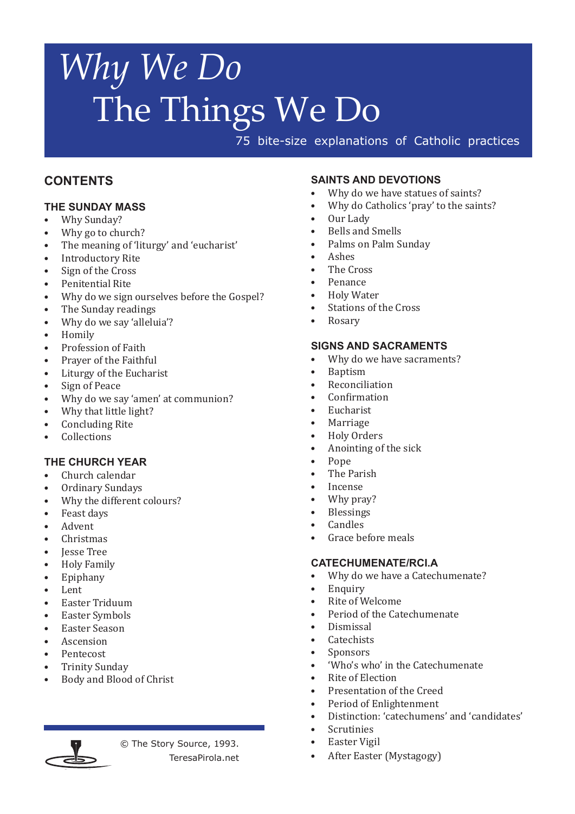75 bite-size explanations of Catholic practices

#### **CONTENTS**

#### **THE SUNDAY MASS**

- Why Sunday?<br>• Why go to chu
- Why go to church?
- • The meaning of 'liturgy' and 'eucharist'
- **Introductory Rite**
- Sign of the Cross
- Penitential Rite
- Why do we sign ourselves before the Gospel?
- The Sunday readings<br>• Why do we say 'allelu
- Why do we say 'alleluia'?<br>• Homily
- **Homily**
- Profession of Faith
- Prayer of the Faithful
- Liturgy of the Eucharist<br>• Sign of Peace
- Sign of Peace
- Why do we say 'amen' at communion?
- Why that little light?<br>• Concluding Rite
- Concluding Rite
- **Collections**

#### **THE CHURCH YEAR**

- • Church calendar
- Ordinary Sundays<br>• Why the different of
- Why the different colours?<br>• Feast days
- Feast days
- **Advent**
- **Christmas**
- **Iesse Tree**
- Holy Family<br>• Fninhany
- Epiphany<br>• Lept
- Lent
- • Easter Triduum
- **Easter Symbols**
- **Easter Season**
- **Ascension**
- Pentecost
- **Trinity Sunday**
- Body and Blood of Christ



© The Story Source, 1993. TeresaPirola.net

#### **SAINTS AND DEVOTIONS**

- Why do we have statues of saints?
- Why do Catholics 'pray' to the saints?
- Our Lady
- **Bells and Smells**
- Palms on Palm Sunday
- Ashes
- The Cross
- • Penance
- **Holy Water**
- Stations of the Cross
- **Rosary**

#### **SIGNS AND SACRAMENTS**

- Why do we have sacraments?
- **Baptism**
- **Reconciliation**
- **Confirmation**
- **Eucharist**
- **Marriage**
- **Holy Orders**
- Anointing of the sick
- Pope<sup>1</sup>
- The Parish
- **Incense**
- Why pray?
- **Blessings**
- Candles
- Grace before meals

#### **CATECHUMENATE/RCI.A**

- Why do we have a Catechumenate?
- **Enquiry**
- Rite of Welcome
- Period of the Catechumenate
- Dismissal
- **Catechists**
- **Sponsors**
- 'Who's who' in the Catechumenate
- **Rite of Election**
- Presentation of the Creed
- Period of Enlightenment
- Distinction: 'catechumens' and 'candidates'
- **Scrutinies**
- **Easter Vigil**
- After Easter (Mystagogy)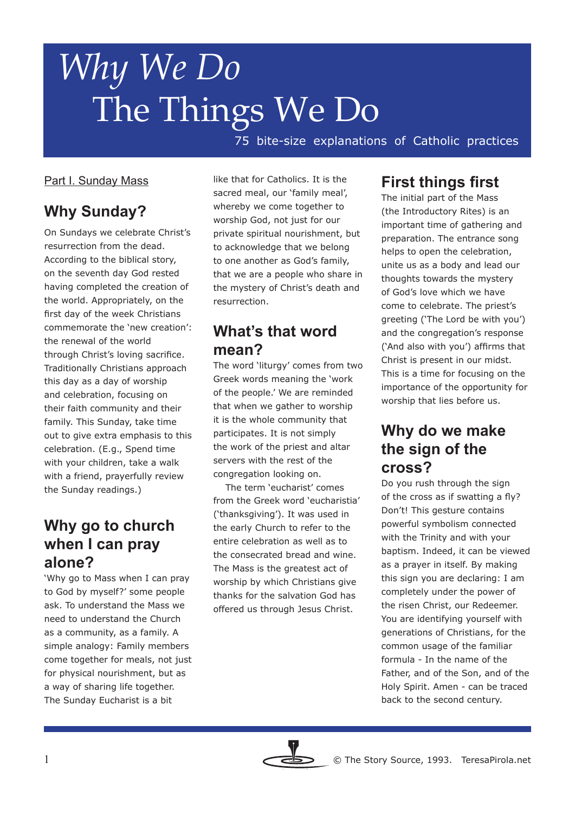75 bite-size explanations of Catholic practices

#### Part I. Sunday Mass

### **Why Sunday?**

On Sundays we celebrate Christ's resurrection from the dead. According to the biblical story, on the seventh day God rested having completed the creation of the world. Appropriately, on the first day of the week Christians commemorate the 'new creation': the renewal of the world through Christ's loving sacrifice. Traditionally Christians approach this day as a day of worship and celebration, focusing on their faith community and their family. This Sunday, take time out to give extra emphasis to this celebration. (E.g., Spend time with your children, take a walk with a friend, prayerfully review the Sunday readings.)

#### **Why go to church when I can pray alone?**

'Why go to Mass when I can pray to God by myself?' some people ask. To understand the Mass we need to understand the Church as a community, as a family. A simple analogy: Family members come together for meals, not just for physical nourishment, but as a way of sharing life together. The Sunday Eucharist is a bit

like that for Catholics. It is the sacred meal, our 'family meal', whereby we come together to worship God, not just for our private spiritual nourishment, but to acknowledge that we belong to one another as God's family, that we are a people who share in the mystery of Christ's death and resurrection.

## **What's that word mean?**

The word 'liturgy' comes from two Greek words meaning the 'work of the people.' We are reminded that when we gather to worship it is the whole community that participates. It is not simply the work of the priest and altar servers with the rest of the congregation looking on.

 The term 'eucharist' comes from the Greek word 'eucharistia' ('thanksgiving'). It was used in the early Church to refer to the entire celebration as well as to the consecrated bread and wine. The Mass is the greatest act of worship by which Christians give thanks for the salvation God has offered us through Jesus Christ.

#### **First things first**

The initial part of the Mass (the Introductory Rites) is an important time of gathering and preparation. The entrance song helps to open the celebration, unite us as a body and lead our thoughts towards the mystery of God's love which we have come to celebrate. The priest's greeting ('The Lord be with you') and the congregation's response ('And also with you') affirms that Christ is present in our midst. This is a time for focusing on the importance of the opportunity for worship that lies before us.

#### **Why do we make the sign of the cross?**

Do you rush through the sign of the cross as if swatting a fly? Don't! This gesture contains powerful symbolism connected with the Trinity and with your baptism. Indeed, it can be viewed as a prayer in itself. By making this sign you are declaring: I am completely under the power of the risen Christ, our Redeemer. You are identifying yourself with generations of Christians, for the common usage of the familiar formula - In the name of the Father, and of the Son, and of the Holy Spirit. Amen - can be traced back to the second century.

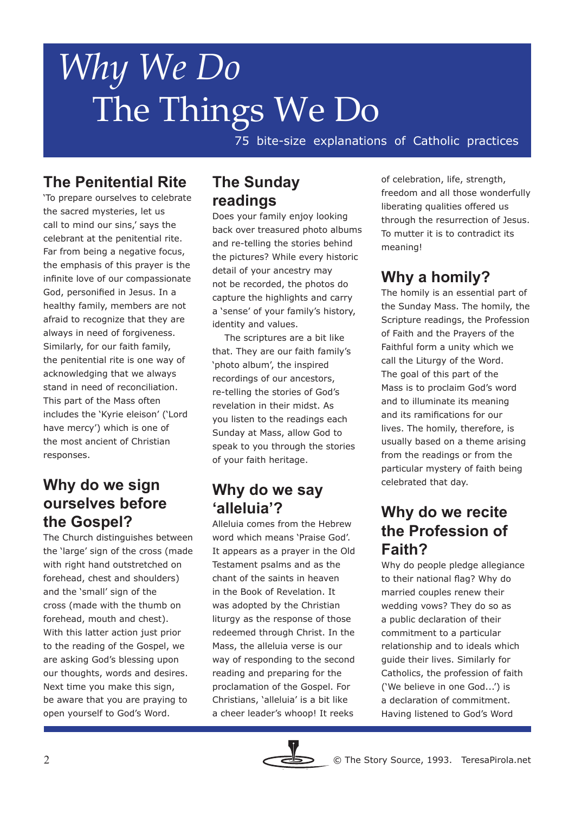75 bite-size explanations of Catholic practices

# **The Penitential Rite**

'To prepare ourselves to celebrate the sacred mysteries, let us call to mind our sins,' says the celebrant at the penitential rite. Far from being a negative focus, the emphasis of this prayer is the infinite love of our compassionate God, personified in Jesus. In a healthy family, members are not afraid to recognize that they are always in need of forgiveness. Similarly, for our faith family, the penitential rite is one way of acknowledging that we always stand in need of reconciliation. This part of the Mass often includes the 'Kyrie eleison' ('Lord have mercy') which is one of the most ancient of Christian responses.

## **Why do we sign ourselves before the Gospel?**

The Church distinguishes between the 'large' sign of the cross (made with right hand outstretched on forehead, chest and shoulders) and the 'small' sign of the cross (made with the thumb on forehead, mouth and chest). With this latter action just prior to the reading of the Gospel, we are asking God's blessing upon our thoughts, words and desires. Next time you make this sign, be aware that you are praying to open yourself to God's Word.

#### **The Sunday readings**

Does your family enjoy looking back over treasured photo albums and re-telling the stories behind the pictures? While every historic detail of your ancestry may not be recorded, the photos do capture the highlights and carry a 'sense' of your family's history, identity and values.

 The scriptures are a bit like that. They are our faith family's 'photo album', the inspired recordings of our ancestors, re-telling the stories of God's revelation in their midst. As you listen to the readings each Sunday at Mass, allow God to speak to you through the stories of your faith heritage.

#### **Why do we say 'alleluia'?**

Alleluia comes from the Hebrew word which means 'Praise God'. It appears as a prayer in the Old Testament psalms and as the chant of the saints in heaven in the Book of Revelation. It was adopted by the Christian liturgy as the response of those redeemed through Christ. In the Mass, the alleluia verse is our way of responding to the second reading and preparing for the proclamation of the Gospel. For Christians, 'alleluia' is a bit like a cheer leader's whoop! It reeks



of celebration, life, strength, freedom and all those wonderfully liberating qualities offered us through the resurrection of Jesus. To mutter it is to contradict its meaning!

# **Why a homily?**

The homily is an essential part of the Sunday Mass. The homily, the Scripture readings, the Profession of Faith and the Prayers of the Faithful form a unity which we call the Liturgy of the Word. The goal of this part of the Mass is to proclaim God's word and to illuminate its meaning and its ramifications for our lives. The homily, therefore, is usually based on a theme arising from the readings or from the particular mystery of faith being celebrated that day.

## **Why do we recite the Profession of Faith?**

Why do people pledge allegiance to their national flag? Why do married couples renew their wedding vows? They do so as a public declaration of their commitment to a particular relationship and to ideals which guide their lives. Similarly for Catholics, the profession of faith ('We believe in one God...') is a declaration of commitment. Having listened to God's Word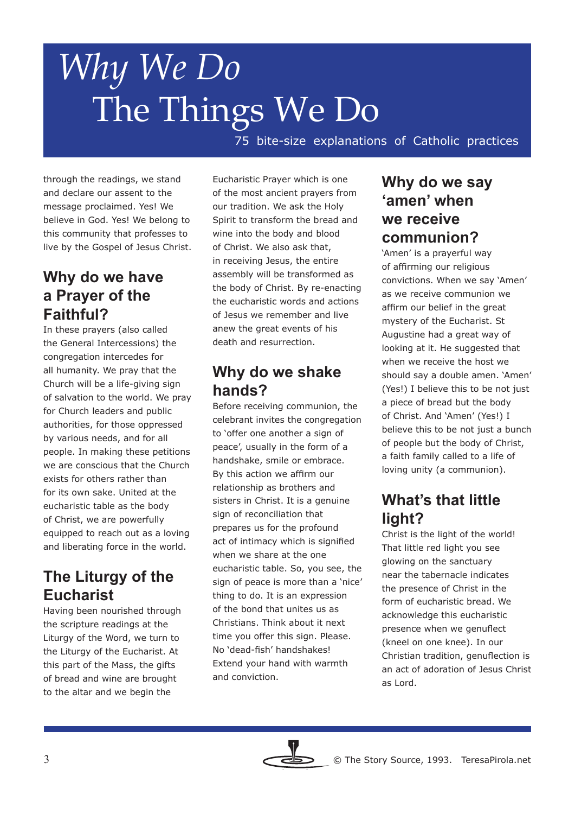75 bite-size explanations of Catholic practices

through the readings, we stand and declare our assent to the message proclaimed. Yes! We believe in God. Yes! We belong to this community that professes to live by the Gospel of Jesus Christ.

## **Why do we have a Prayer of the Faithful?**

In these prayers (also called the General Intercessions) the congregation intercedes for all humanity. We pray that the Church will be a life-giving sign of salvation to the world. We pray for Church leaders and public authorities, for those oppressed by various needs, and for all people. In making these petitions we are conscious that the Church exists for others rather than for its own sake. United at the eucharistic table as the body of Christ, we are powerfully equipped to reach out as a loving and liberating force in the world.

### **The Liturgy of the Eucharist**

Having been nourished through the scripture readings at the Liturgy of the Word, we turn to the Liturgy of the Eucharist. At this part of the Mass, the gifts of bread and wine are brought to the altar and we begin the

Eucharistic Prayer which is one of the most ancient prayers from our tradition. We ask the Holy Spirit to transform the bread and wine into the body and blood of Christ. We also ask that, in receiving Jesus, the entire assembly will be transformed as the body of Christ. By re-enacting the eucharistic words and actions of Jesus we remember and live anew the great events of his death and resurrection.

### **Why do we shake hands?**

Before receiving communion, the celebrant invites the congregation to 'offer one another a sign of peace', usually in the form of a handshake, smile or embrace. By this action we affirm our relationship as brothers and sisters in Christ. It is a genuine sign of reconciliation that prepares us for the profound act of intimacy which is signified when we share at the one eucharistic table. So, you see, the sign of peace is more than a 'nice' thing to do. It is an expression of the bond that unites us as Christians. Think about it next time you offer this sign. Please. No 'dead-fish' handshakes! Extend your hand with warmth and conviction.

#### **Why do we say 'amen' when we receive communion?**

'Amen' is a prayerful way of affirming our religious convictions. When we say 'Amen' as we receive communion we affirm our belief in the great mystery of the Eucharist. St Augustine had a great way of looking at it. He suggested that when we receive the host we should say a double amen. 'Amen' (Yes!) I believe this to be not just a piece of bread but the body of Christ. And 'Amen' (Yes!) I believe this to be not just a bunch of people but the body of Christ, a faith family called to a life of loving unity (a communion).

# **What's that little light?**

Christ is the light of the world! That little red light you see glowing on the sanctuary near the tabernacle indicates the presence of Christ in the form of eucharistic bread. We acknowledge this eucharistic presence when we genuflect (kneel on one knee). In our Christian tradition, genuflection is an act of adoration of Jesus Christ as Lord.

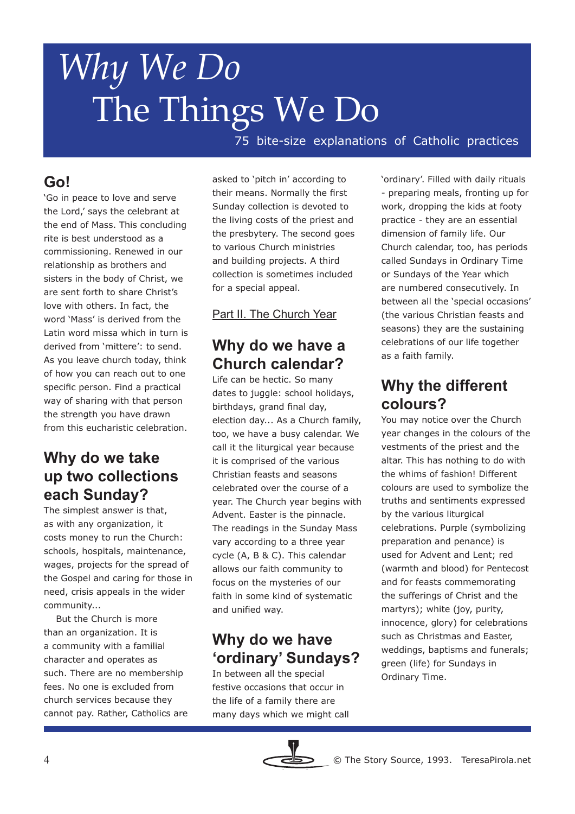75 bite-size explanations of Catholic practices

# **Go!**

'Go in peace to love and serve the Lord,' says the celebrant at the end of Mass. This concluding rite is best understood as a commissioning. Renewed in our relationship as brothers and sisters in the body of Christ, we are sent forth to share Christ's love with others. In fact, the word 'Mass' is derived from the Latin word missa which in turn is derived from 'mittere': to send. As you leave church today, think of how you can reach out to one specific person. Find a practical way of sharing with that person the strength you have drawn from this eucharistic celebration.

## **Why do we take up two collections each Sunday?**

The simplest answer is that, as with any organization, it costs money to run the Church: schools, hospitals, maintenance, wages, projects for the spread of the Gospel and caring for those in need, crisis appeals in the wider community...

 But the Church is more than an organization. It is a community with a familial character and operates as such. There are no membership fees. No one is excluded from church services because they cannot pay. Rather, Catholics are asked to 'pitch in' according to their means. Normally the first Sunday collection is devoted to the living costs of the priest and the presbytery. The second goes to various Church ministries and building projects. A third collection is sometimes included for a special appeal.

#### Part II. The Church Year

## **Why do we have a Church calendar?**

Life can be hectic. So many dates to juggle: school holidays, birthdays, grand final day, election day... As a Church family, too, we have a busy calendar. We call it the liturgical year because it is comprised of the various Christian feasts and seasons celebrated over the course of a year. The Church year begins with Advent. Easter is the pinnacle. The readings in the Sunday Mass vary according to a three year cycle (A, B & C). This calendar allows our faith community to focus on the mysteries of our faith in some kind of systematic and unified way.

# **Why do we have 'ordinary' Sundays?**

In between all the special festive occasions that occur in the life of a family there are many days which we might call



# **Why the different colours?**

You may notice over the Church year changes in the colours of the vestments of the priest and the altar. This has nothing to do with the whims of fashion! Different colours are used to symbolize the truths and sentiments expressed by the various liturgical celebrations. Purple (symbolizing preparation and penance) is used for Advent and Lent; red (warmth and blood) for Pentecost and for feasts commemorating the sufferings of Christ and the martyrs); white (joy, purity, innocence, glory) for celebrations such as Christmas and Easter, weddings, baptisms and funerals; green (life) for Sundays in Ordinary Time.

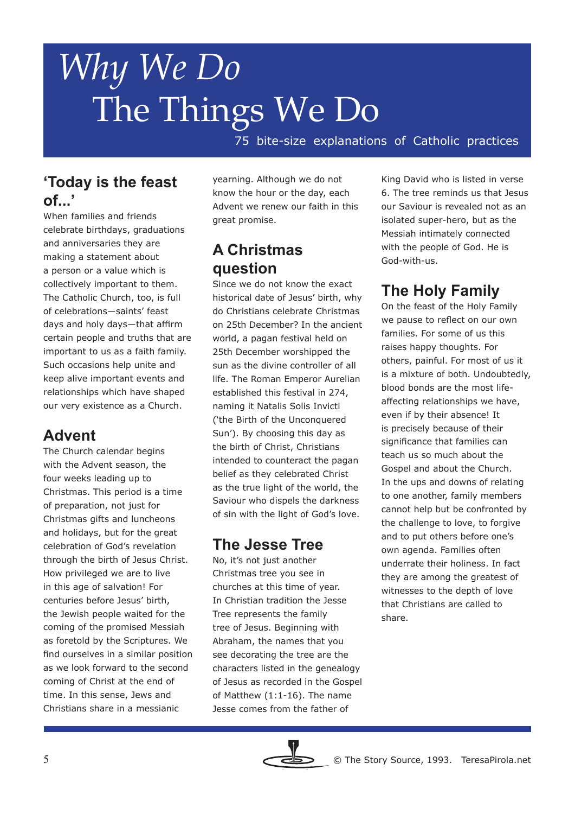75 bite-size explanations of Catholic practices

## **'Today is the feast of...'**

When families and friends celebrate birthdays, graduations and anniversaries they are making a statement about a person or a value which is collectively important to them. The Catholic Church, too, is full of celebrations―saints' feast days and holy days―that affirm certain people and truths that are important to us as a faith family. Such occasions help unite and keep alive important events and relationships which have shaped our very existence as a Church.

# **Advent**

The Church calendar begins with the Advent season, the four weeks leading up to Christmas. This period is a time of preparation, not just for Christmas gifts and luncheons and holidays, but for the great celebration of God's revelation through the birth of Jesus Christ. How privileged we are to live in this age of salvation! For centuries before Jesus' birth, the Jewish people waited for the coming of the promised Messiah as foretold by the Scriptures. We find ourselves in a similar position as we look forward to the second coming of Christ at the end of time. In this sense, Jews and Christians share in a messianic

yearning. Although we do not know the hour or the day, each Advent we renew our faith in this great promise.

# **A Christmas question**

Since we do not know the exact historical date of Jesus' birth, why do Christians celebrate Christmas on 25th December? In the ancient world, a pagan festival held on 25th December worshipped the sun as the divine controller of all life. The Roman Emperor Aurelian established this festival in 274, naming it Natalis Solis Invicti ('the Birth of the Unconquered Sun'). By choosing this day as the birth of Christ, Christians intended to counteract the pagan belief as they celebrated Christ as the true light of the world, the Saviour who dispels the darkness of sin with the light of God's love.

### **The Jesse Tree**

No, it's not just another Christmas tree you see in churches at this time of year. In Christian tradition the Jesse Tree represents the family tree of Jesus. Beginning with Abraham, the names that you see decorating the tree are the characters listed in the genealogy of Jesus as recorded in the Gospel of Matthew (1:1-16). The name Jesse comes from the father of

King David who is listed in verse 6. The tree reminds us that Jesus our Saviour is revealed not as an isolated super-hero, but as the Messiah intimately connected with the people of God. He is God-with-us.

# **The Holy Family**

On the feast of the Holy Family we pause to reflect on our own families. For some of us this raises happy thoughts. For others, painful. For most of us it is a mixture of both. Undoubtedly, blood bonds are the most lifeaffecting relationships we have, even if by their absence! It is precisely because of their significance that families can teach us so much about the Gospel and about the Church. In the ups and downs of relating to one another, family members cannot help but be confronted by the challenge to love, to forgive and to put others before one's own agenda. Families often underrate their holiness. In fact they are among the greatest of witnesses to the depth of love that Christians are called to share.

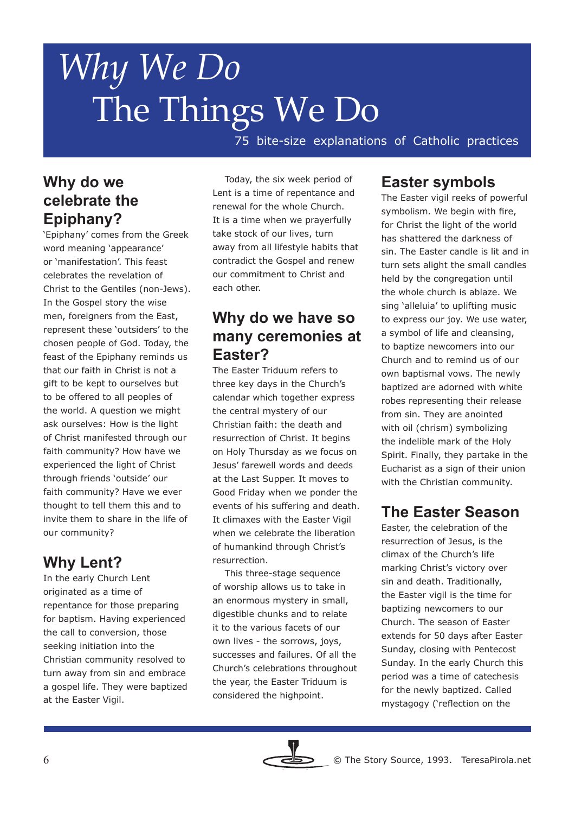75 bite-size explanations of Catholic practices

## **Why do we celebrate the Epiphany?**

'Epiphany' comes from the Greek word meaning 'appearance' or 'manifestation'. This feast celebrates the revelation of Christ to the Gentiles (non-Jews). In the Gospel story the wise men, foreigners from the East, represent these 'outsiders' to the chosen people of God. Today, the feast of the Epiphany reminds us that our faith in Christ is not a gift to be kept to ourselves but to be offered to all peoples of the world. A question we might ask ourselves: How is the light of Christ manifested through our faith community? How have we experienced the light of Christ through friends 'outside' our faith community? Have we ever thought to tell them this and to invite them to share in the life of our community?

# **Why Lent?**

In the early Church Lent originated as a time of repentance for those preparing for baptism. Having experienced the call to conversion, those seeking initiation into the Christian community resolved to turn away from sin and embrace a gospel life. They were baptized at the Easter Vigil.

 Today, the six week period of Lent is a time of repentance and renewal for the whole Church. It is a time when we prayerfully take stock of our lives, turn away from all lifestyle habits that contradict the Gospel and renew our commitment to Christ and each other.

### **Why do we have so many ceremonies at Easter?**

The Easter Triduum refers to three key days in the Church's calendar which together express the central mystery of our Christian faith: the death and resurrection of Christ. It begins on Holy Thursday as we focus on Jesus' farewell words and deeds at the Last Supper. It moves to Good Friday when we ponder the events of his suffering and death. It climaxes with the Easter Vigil when we celebrate the liberation of humankind through Christ's resurrection.

 This three-stage sequence of worship allows us to take in an enormous mystery in small, digestible chunks and to relate it to the various facets of our own lives - the sorrows, joys, successes and failures. Of all the Church's celebrations throughout the year, the Easter Triduum is considered the highpoint.

#### **Easter symbols**

The Easter vigil reeks of powerful symbolism. We begin with fire, for Christ the light of the world has shattered the darkness of sin. The Easter candle is lit and in turn sets alight the small candles held by the congregation until the whole church is ablaze. We sing 'alleluia' to uplifting music to express our joy. We use water, a symbol of life and cleansing, to baptize newcomers into our Church and to remind us of our own baptismal vows. The newly baptized are adorned with white robes representing their release from sin. They are anointed with oil (chrism) symbolizing the indelible mark of the Holy Spirit. Finally, they partake in the Eucharist as a sign of their union with the Christian community.

### **The Easter Season**

Easter, the celebration of the resurrection of Jesus, is the climax of the Church's life marking Christ's victory over sin and death. Traditionally, the Easter vigil is the time for baptizing newcomers to our Church. The season of Easter extends for 50 days after Easter Sunday, closing with Pentecost Sunday. In the early Church this period was a time of catechesis for the newly baptized. Called mystagogy ('reflection on the

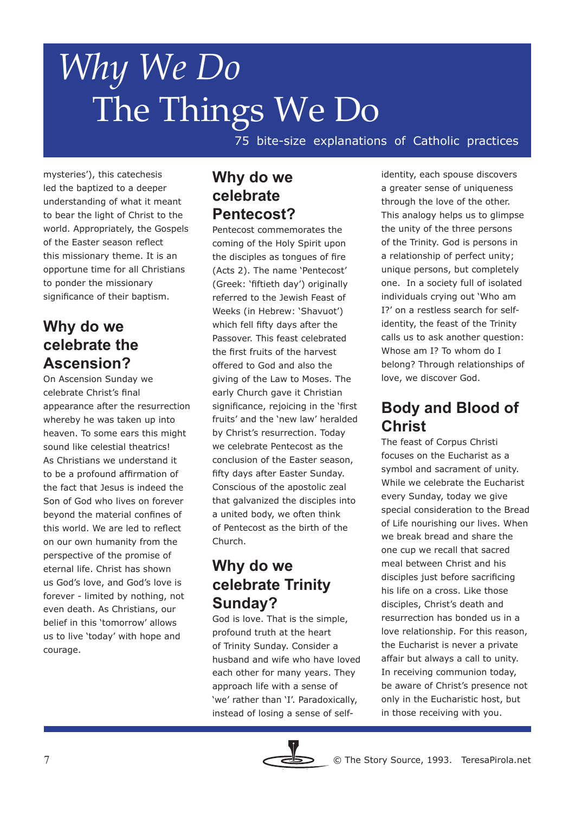75 bite-size explanations of Catholic practices

mysteries'), this catechesis led the baptized to a deeper understanding of what it meant to bear the light of Christ to the world. Appropriately, the Gospels of the Easter season reflect this missionary theme. It is an opportune time for all Christians to ponder the missionary significance of their baptism.

## **Why do we celebrate the Ascension?**

On Ascension Sunday we celebrate Christ's final appearance after the resurrection whereby he was taken up into heaven. To some ears this might sound like celestial theatrics! As Christians we understand it to be a profound affirmation of the fact that Jesus is indeed the Son of God who lives on forever beyond the material confines of this world. We are led to reflect on our own humanity from the perspective of the promise of eternal life. Christ has shown us God's love, and God's love is forever - limited by nothing, not even death. As Christians, our belief in this 'tomorrow' allows us to live 'today' with hope and courage.

#### **Why do we celebrate Pentecost?**

Pentecost commemorates the coming of the Holy Spirit upon the disciples as tongues of fire (Acts 2). The name 'Pentecost' (Greek: 'fiftieth day') originally referred to the Jewish Feast of Weeks (in Hebrew: 'Shavuot') which fell fifty days after the Passover. This feast celebrated the first fruits of the harvest offered to God and also the giving of the Law to Moses. The early Church gave it Christian significance, rejoicing in the 'first fruits' and the 'new law' heralded by Christ's resurrection. Today we celebrate Pentecost as the conclusion of the Easter season, fifty days after Easter Sunday. Conscious of the apostolic zeal that galvanized the disciples into a united body, we often think of Pentecost as the birth of the Church.

### **Why do we celebrate Trinity Sunday?**

God is love. That is the simple, profound truth at the heart of Trinity Sunday. Consider a husband and wife who have loved each other for many years. They approach life with a sense of 'we' rather than 'I'. Paradoxically, instead of losing a sense of self-



## **Body and Blood of Christ**

The feast of Corpus Christi focuses on the Eucharist as a symbol and sacrament of unity. While we celebrate the Eucharist every Sunday, today we give special consideration to the Bread of Life nourishing our lives. When we break bread and share the one cup we recall that sacred meal between Christ and his disciples just before sacrificing his life on a cross. Like those disciples, Christ's death and resurrection has bonded us in a love relationship. For this reason, the Eucharist is never a private affair but always a call to unity. In receiving communion today, be aware of Christ's presence not only in the Eucharistic host, but in those receiving with you.

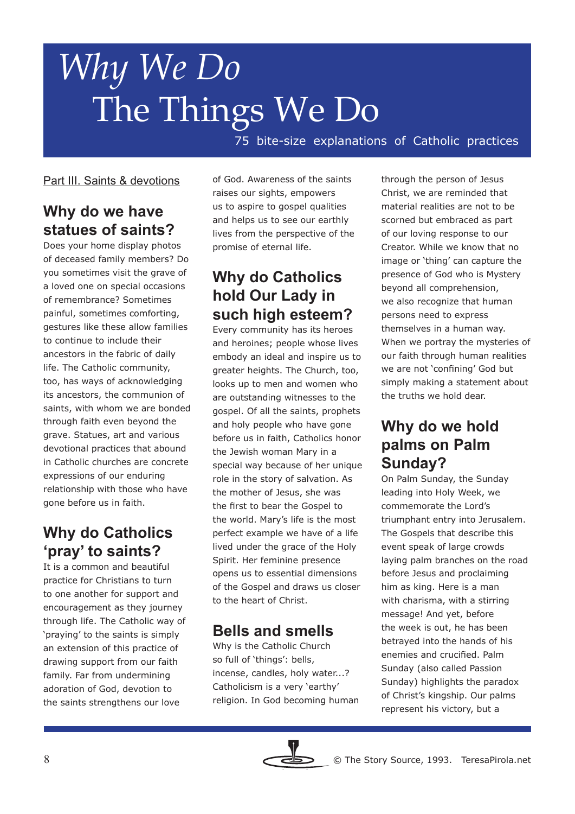75 bite-size explanations of Catholic practices

#### Part III. Saints & devotions

# **Why do we have statues of saints?**

Does your home display photos of deceased family members? Do you sometimes visit the grave of a loved one on special occasions of remembrance? Sometimes painful, sometimes comforting, gestures like these allow families to continue to include their ancestors in the fabric of daily life. The Catholic community, too, has ways of acknowledging its ancestors, the communion of saints, with whom we are bonded through faith even beyond the grave. Statues, art and various devotional practices that abound in Catholic churches are concrete expressions of our enduring relationship with those who have gone before us in faith.

# **Why do Catholics 'pray' to saints?**

It is a common and beautiful practice for Christians to turn to one another for support and encouragement as they journey through life. The Catholic way of 'praying' to the saints is simply an extension of this practice of drawing support from our faith family. Far from undermining adoration of God, devotion to the saints strengthens our love

of God. Awareness of the saints raises our sights, empowers us to aspire to gospel qualities and helps us to see our earthly lives from the perspective of the promise of eternal life.

# **Why do Catholics hold Our Lady in such high esteem?**

Every community has its heroes and heroines; people whose lives embody an ideal and inspire us to greater heights. The Church, too, looks up to men and women who are outstanding witnesses to the gospel. Of all the saints, prophets and holy people who have gone before us in faith, Catholics honor the Jewish woman Mary in a special way because of her unique role in the story of salvation. As the mother of Jesus, she was the first to bear the Gospel to the world. Mary's life is the most perfect example we have of a life lived under the grace of the Holy Spirit. Her feminine presence opens us to essential dimensions of the Gospel and draws us closer to the heart of Christ.

# **Bells and smells**

Why is the Catholic Church so full of 'things': bells, incense, candles, holy water...? Catholicism is a very 'earthy' religion. In God becoming human through the person of Jesus Christ, we are reminded that material realities are not to be scorned but embraced as part of our loving response to our Creator. While we know that no image or 'thing' can capture the presence of God who is Mystery beyond all comprehension, we also recognize that human persons need to express themselves in a human way. When we portray the mysteries of our faith through human realities we are not 'confining' God but simply making a statement about the truths we hold dear.

#### **Why do we hold palms on Palm Sunday?**

On Palm Sunday, the Sunday leading into Holy Week, we commemorate the Lord's triumphant entry into Jerusalem. The Gospels that describe this event speak of large crowds laying palm branches on the road before Jesus and proclaiming him as king. Here is a man with charisma, with a stirring message! And yet, before the week is out, he has been betrayed into the hands of his enemies and crucified. Palm Sunday (also called Passion Sunday) highlights the paradox of Christ's kingship. Our palms represent his victory, but a

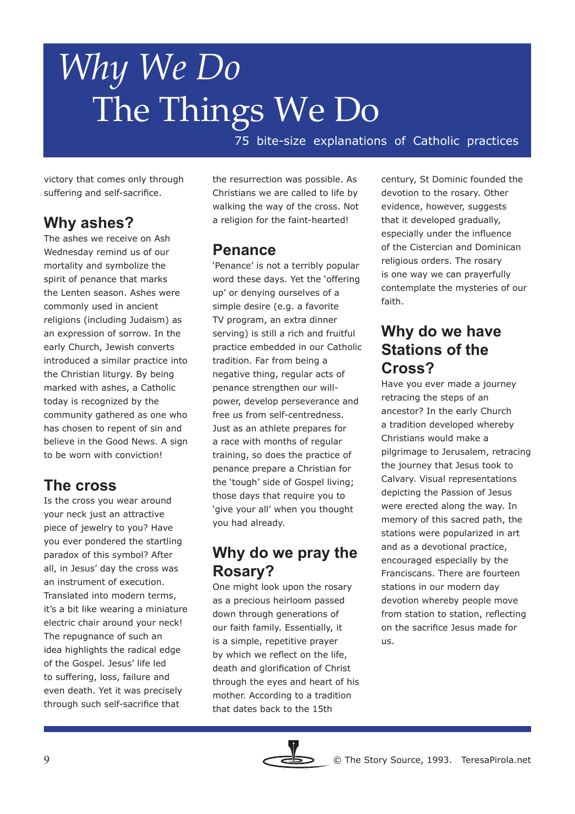75 bite-size explanations of Catholic practices

victory that comes only through suffering and self-sacrifice.

# **Why ashes?**

The ashes we receive on Ash Wednesday remind us of our mortality and symbolize the spirit of penance that marks the Lenten season. Ashes were commonly used in ancient religions (including Judaism) as an expression of sorrow. In the early Church, Jewish converts introduced a similar practice into the Christian liturgy. By being marked with ashes, a Catholic today is recognized by the community gathered as one who has chosen to repent of sin and believe in the Good News. A sign to be worn with conviction!

# **The cross**

Is the cross you wear around your neck just an attractive piece of jewelry to you? Have you ever pondered the startling paradox of this symbol? After all, in Jesus' day the cross was an instrument of execution. Translated into modern terms, it's a bit like wearing a miniature electric chair around your neck! The repugnance of such an idea highlights the radical edge of the Gospel. Jesus' life led to suffering, loss, failure and even death. Yet it was precisely through such self-sacrifice that

the resurrection was possible. As Christians we are called to life by walking the way of the cross. Not a religion for the faint-hearted!

#### **Penance**

'Penance' is not a terribly popular word these days. Yet the 'offering up' or denying ourselves of a simple desire (e.g. a favorite TV program, an extra dinner serving) is still a rich and fruitful practice embedded in our Catholic tradition. Far from being a negative thing, regular acts of penance strengthen our willpower, develop perseverance and free us from self-centredness. Just as an athlete prepares for a race with months of regular training, so does the practice of penance prepare a Christian for the 'tough' side of Gospel living; those days that require you to 'give your all' when you thought you had already.

### **Why do we pray the Rosary?**

One might look upon the rosary as a precious heirloom passed down through generations of our faith family. Essentially, it is a simple, repetitive prayer by which we reflect on the life, death and glorification of Christ through the eyes and heart of his mother. According to a tradition that dates back to the 15th

century, St Dominic founded the devotion to the rosary. Other evidence, however, suggests that it developed gradually, especially under the influence of the Cistercian and Dominican religious orders. The rosary is one way we can prayerfully contemplate the mysteries of our faith.

### **Why do we have Stations of the Cross?**

Have you ever made a journey retracing the steps of an ancestor? In the early Church a tradition developed whereby Christians would make a pilgrimage to Jerusalem, retracing the journey that Jesus took to Calvary. Visual representations depicting the Passion of Jesus were erected along the way. In memory of this sacred path, the stations were popularized in art and as a devotional practice, encouraged especially by the Franciscans. There are fourteen stations in our modern day devotion whereby people move from station to station, reflecting on the sacrifice Jesus made for us.

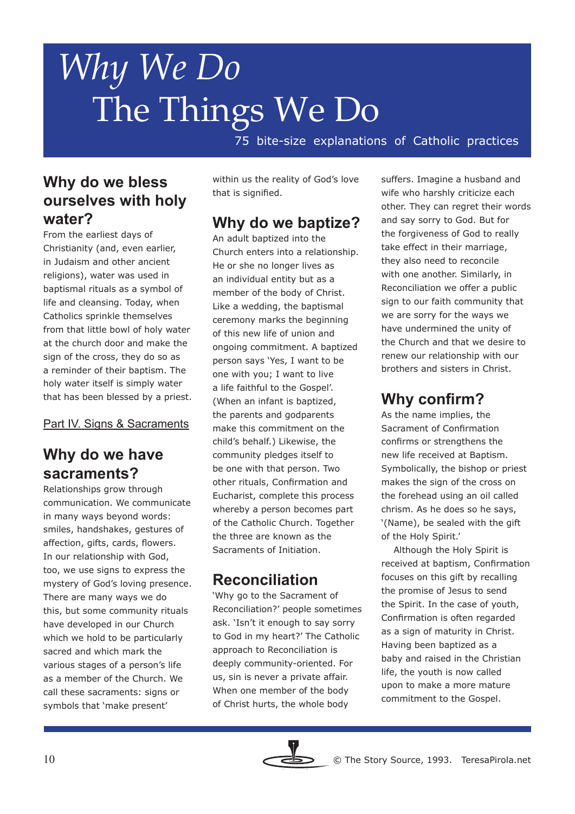75 bite-size explanations of Catholic practices

### **Why do we bless ourselves with holy water?**

From the earliest days of Christianity (and, even earlier, in Judaism and other ancient religions), water was used in baptismal rituals as a symbol of life and cleansing. Today, when Catholics sprinkle themselves from that little bowl of holy water at the church door and make the sign of the cross, they do so as a reminder of their baptism. The holy water itself is simply water that has been blessed by a priest.

Part IV. Signs & Sacraments

### **Why do we have sacraments?**

Relationships grow through communication. We communicate in many ways beyond words: smiles, handshakes, gestures of affection, gifts, cards, flowers. In our relationship with God, too, we use signs to express the mystery of God's loving presence. There are many ways we do this, but some community rituals have developed in our Church which we hold to be particularly sacred and which mark the various stages of a person's life as a member of the Church. We call these sacraments: signs or symbols that 'make present'

within us the reality of God's love that is signified.

# **Why do we baptize?**

An adult baptized into the Church enters into a relationship. He or she no longer lives as an individual entity but as a member of the body of Christ. Like a wedding, the baptismal ceremony marks the beginning of this new life of union and ongoing commitment. A baptized person says 'Yes, I want to be one with you; I want to live a life faithful to the Gospel'. (When an infant is baptized, the parents and godparents make this commitment on the child's behalf.) Likewise, the community pledges itself to be one with that person. Two other rituals, Confirmation and Eucharist, complete this process whereby a person becomes part of the Catholic Church. Together the three are known as the Sacraments of Initiation.

### **Reconciliation**

'Why go to the Sacrament of Reconciliation?' people sometimes ask. 'Isn't it enough to say sorry to God in my heart?' The Catholic approach to Reconciliation is deeply community-oriented. For us, sin is never a private affair. When one member of the body of Christ hurts, the whole body

suffers. Imagine a husband and wife who harshly criticize each other. They can regret their words and say sorry to God. But for the forgiveness of God to really take effect in their marriage, they also need to reconcile with one another. Similarly, in Reconciliation we offer a public sign to our faith community that we are sorry for the ways we have undermined the unity of the Church and that we desire to renew our relationship with our brothers and sisters in Christ.

# **Why confirm?**

As the name implies, the Sacrament of Confirmation confirms or strengthens the new life received at Baptism. Symbolically, the bishop or priest makes the sign of the cross on the forehead using an oil called chrism. As he does so he says, '(Name), be sealed with the gift of the Holy Spirit.'

 Although the Holy Spirit is received at baptism, Confirmation focuses on this gift by recalling the promise of Jesus to send the Spirit. In the case of youth, Confirmation is often regarded as a sign of maturity in Christ. Having been baptized as a baby and raised in the Christian life, the youth is now called upon to make a more mature commitment to the Gospel.

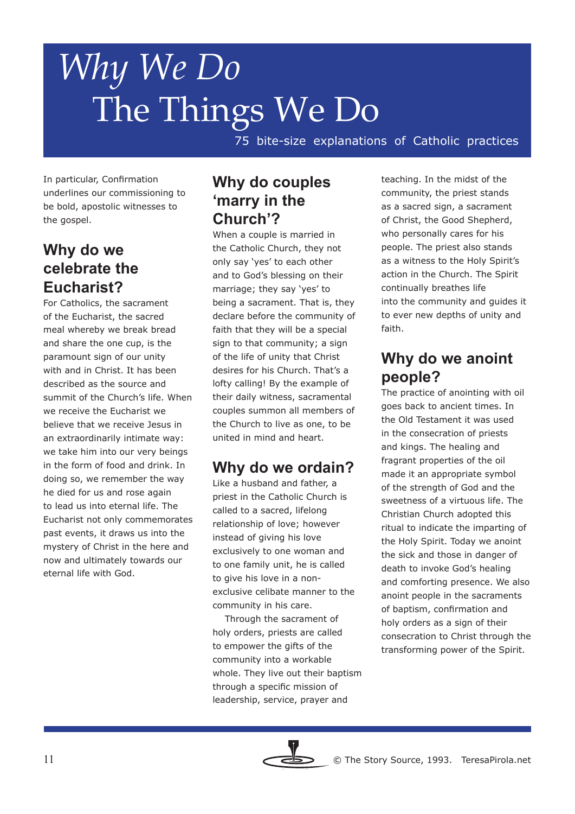75 bite-size explanations of Catholic practices

In particular, Confirmation underlines our commissioning to be bold, apostolic witnesses to the gospel.

# **Why do we celebrate the Eucharist?**

For Catholics, the sacrament of the Eucharist, the sacred meal whereby we break bread and share the one cup, is the paramount sign of our unity with and in Christ. It has been described as the source and summit of the Church's life. When we receive the Eucharist we believe that we receive Jesus in an extraordinarily intimate way: we take him into our very beings in the form of food and drink. In doing so, we remember the way he died for us and rose again to lead us into eternal life. The Eucharist not only commemorates past events, it draws us into the mystery of Christ in the here and now and ultimately towards our eternal life with God.

#### **Why do couples 'marry in the Church'?**

When a couple is married in the Catholic Church, they not only say 'yes' to each other and to God's blessing on their marriage; they say 'yes' to being a sacrament. That is, they declare before the community of faith that they will be a special sign to that community; a sign of the life of unity that Christ desires for his Church. That's a lofty calling! By the example of their daily witness, sacramental couples summon all members of the Church to live as one, to be united in mind and heart.

# **Why do we ordain?**

Like a husband and father, a priest in the Catholic Church is called to a sacred, lifelong relationship of love; however instead of giving his love exclusively to one woman and to one family unit, he is called to give his love in a nonexclusive celibate manner to the community in his care.

 Through the sacrament of holy orders, priests are called to empower the gifts of the community into a workable whole. They live out their baptism through a specific mission of leadership, service, prayer and

teaching. In the midst of the community, the priest stands as a sacred sign, a sacrament of Christ, the Good Shepherd, who personally cares for his people. The priest also stands as a witness to the Holy Spirit's action in the Church. The Spirit continually breathes life into the community and guides it to ever new depths of unity and faith.

#### **Why do we anoint people?**

The practice of anointing with oil goes back to ancient times. In the Old Testament it was used in the consecration of priests and kings. The healing and fragrant properties of the oil made it an appropriate symbol of the strength of God and the sweetness of a virtuous life. The Christian Church adopted this ritual to indicate the imparting of the Holy Spirit. Today we anoint the sick and those in danger of death to invoke God's healing and comforting presence. We also anoint people in the sacraments of baptism, confirmation and holy orders as a sign of their consecration to Christ through the transforming power of the Spirit.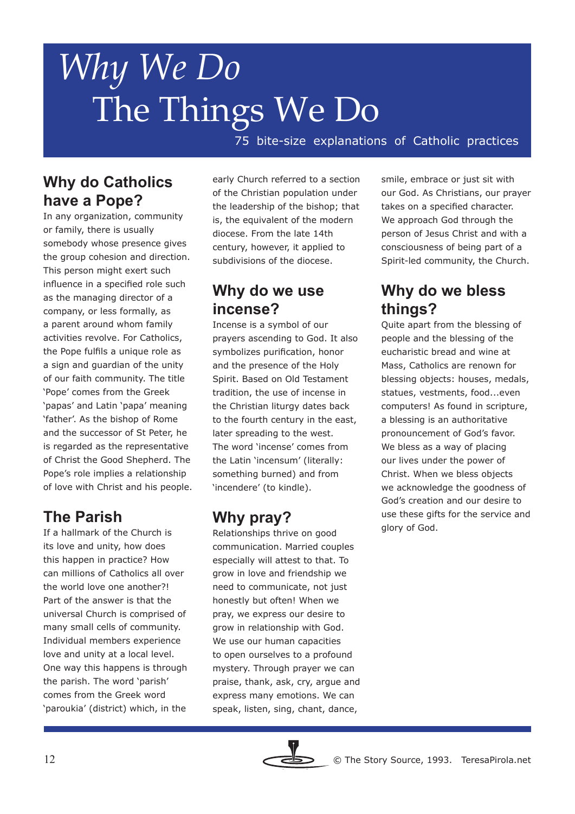75 bite-size explanations of Catholic practices

## **Why do Catholics have a Pope?**

In any organization, community or family, there is usually somebody whose presence gives the group cohesion and direction. This person might exert such influence in a specified role such as the managing director of a company, or less formally, as a parent around whom family activities revolve. For Catholics, the Pope fulfils a unique role as a sign and guardian of the unity of our faith community. The title 'Pope' comes from the Greek 'papas' and Latin 'papa' meaning 'father'. As the bishop of Rome and the successor of St Peter, he is regarded as the representative of Christ the Good Shepherd. The Pope's role implies a relationship of love with Christ and his people.

# **The Parish**

If a hallmark of the Church is its love and unity, how does this happen in practice? How can millions of Catholics all over the world love one another?! Part of the answer is that the universal Church is comprised of many small cells of community. Individual members experience love and unity at a local level. One way this happens is through the parish. The word 'parish' comes from the Greek word 'paroukia' (district) which, in the

early Church referred to a section of the Christian population under the leadership of the bishop; that is, the equivalent of the modern diocese. From the late 14th century, however, it applied to subdivisions of the diocese.

# **Why do we use incense?**

Incense is a symbol of our prayers ascending to God. It also symbolizes purification, honor and the presence of the Holy Spirit. Based on Old Testament tradition, the use of incense in the Christian liturgy dates back to the fourth century in the east, later spreading to the west. The word 'incense' comes from the Latin 'incensum' (literally: something burned) and from 'incendere' (to kindle).

# **Why pray?**

Relationships thrive on good communication. Married couples especially will attest to that. To grow in love and friendship we need to communicate, not just honestly but often! When we pray, we express our desire to grow in relationship with God. We use our human capacities to open ourselves to a profound mystery. Through prayer we can praise, thank, ask, cry, argue and express many emotions. We can speak, listen, sing, chant, dance,

smile, embrace or just sit with our God. As Christians, our prayer takes on a specified character. We approach God through the person of Jesus Christ and with a consciousness of being part of a Spirit-led community, the Church.

# **Why do we bless things?**

Quite apart from the blessing of people and the blessing of the eucharistic bread and wine at Mass, Catholics are renown for blessing objects: houses, medals, statues, vestments, food...even computers! As found in scripture, a blessing is an authoritative pronouncement of God's favor. We bless as a way of placing our lives under the power of Christ. When we bless objects we acknowledge the goodness of God's creation and our desire to use these gifts for the service and glory of God.

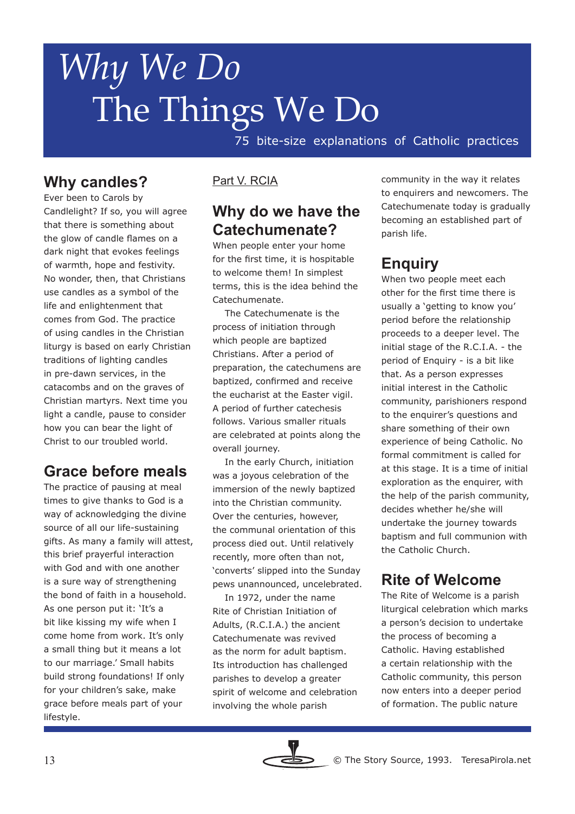75 bite-size explanations of Catholic practices

# **Why candles?**

Ever been to Carols by Candlelight? If so, you will agree that there is something about the glow of candle flames on a dark night that evokes feelings of warmth, hope and festivity. No wonder, then, that Christians use candles as a symbol of the life and enlightenment that comes from God. The practice of using candles in the Christian liturgy is based on early Christian traditions of lighting candles in pre-dawn services, in the catacombs and on the graves of Christian martyrs. Next time you light a candle, pause to consider how you can bear the light of Christ to our troubled world.

# **Grace before meals**

The practice of pausing at meal times to give thanks to God is a way of acknowledging the divine source of all our life-sustaining gifts. As many a family will attest, this brief prayerful interaction with God and with one another is a sure way of strengthening the bond of faith in a household. As one person put it: 'It's a bit like kissing my wife when I come home from work. It's only a small thing but it means a lot to our marriage.' Small habits build strong foundations! If only for your children's sake, make grace before meals part of your lifestyle.

#### Part V. RCIA

#### **Why do we have the Catechumenate?**

When people enter your home for the first time, it is hospitable to welcome them! In simplest terms, this is the idea behind the Catechumenate.

 The Catechumenate is the process of initiation through which people are baptized Christians. After a period of preparation, the catechumens are baptized, confirmed and receive the eucharist at the Easter vigil. A period of further catechesis follows. Various smaller rituals are celebrated at points along the overall journey.

 In the early Church, initiation was a joyous celebration of the immersion of the newly baptized into the Christian community. Over the centuries, however, the communal orientation of this process died out. Until relatively recently, more often than not, 'converts' slipped into the Sunday pews unannounced, uncelebrated.

 In 1972, under the name Rite of Christian Initiation of Adults, (R.C.I.A.) the ancient Catechumenate was revived as the norm for adult baptism. Its introduction has challenged parishes to develop a greater spirit of welcome and celebration involving the whole parish

community in the way it relates to enquirers and newcomers. The Catechumenate today is gradually becoming an established part of parish life.

# **Enquiry**

When two people meet each other for the first time there is usually a 'getting to know you' period before the relationship proceeds to a deeper level. The initial stage of the R.C.I.A. - the period of Enquiry - is a bit like that. As a person expresses initial interest in the Catholic community, parishioners respond to the enquirer's questions and share something of their own experience of being Catholic. No formal commitment is called for at this stage. It is a time of initial exploration as the enquirer, with the help of the parish community, decides whether he/she will undertake the journey towards baptism and full communion with the Catholic Church.

#### **Rite of Welcome**

The Rite of Welcome is a parish liturgical celebration which marks a person's decision to undertake the process of becoming a Catholic. Having established a certain relationship with the Catholic community, this person now enters into a deeper period of formation. The public nature

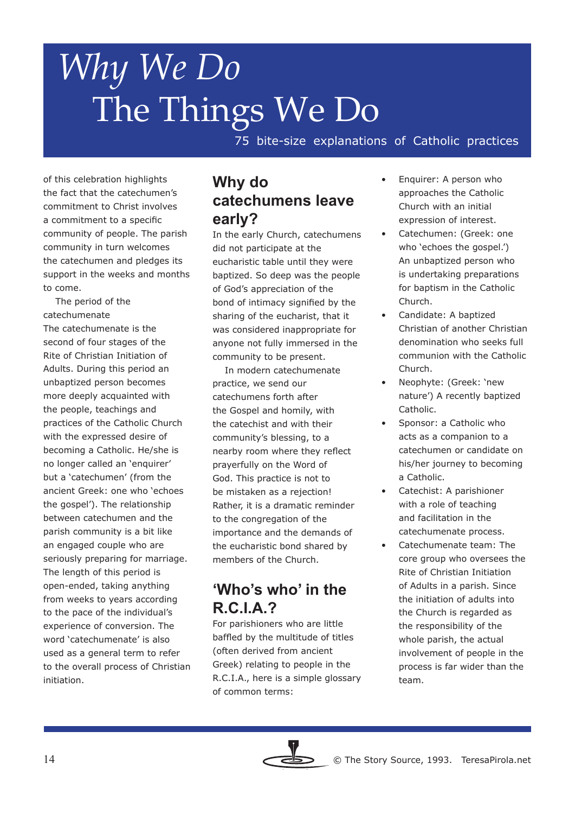75 bite-size explanations of Catholic practices

of this celebration highlights the fact that the catechumen's commitment to Christ involves a commitment to a specific community of people. The parish community in turn welcomes the catechumen and pledges its support in the weeks and months to come.

 The period of the catechumenate The catechumenate is the second of four stages of the Rite of Christian Initiation of Adults. During this period an unbaptized person becomes more deeply acquainted with the people, teachings and practices of the Catholic Church with the expressed desire of becoming a Catholic. He/she is no longer called an 'enquirer' but a 'catechumen' (from the ancient Greek: one who 'echoes the gospel'). The relationship between catechumen and the parish community is a bit like an engaged couple who are seriously preparing for marriage. The length of this period is open-ended, taking anything from weeks to years according to the pace of the individual's experience of conversion. The word 'catechumenate' is also used as a general term to refer to the overall process of Christian initiation.

## **Why do catechumens leave early?**

In the early Church, catechumens did not participate at the eucharistic table until they were baptized. So deep was the people of God's appreciation of the bond of intimacy signified by the sharing of the eucharist, that it was considered inappropriate for anyone not fully immersed in the community to be present.

 In modern catechumenate practice, we send our catechumens forth after the Gospel and homily, with the catechist and with their community's blessing, to a nearby room where they reflect prayerfully on the Word of God. This practice is not to be mistaken as a rejection! Rather, it is a dramatic reminder to the congregation of the importance and the demands of the eucharistic bond shared by members of the Church.

## **'Who's who' in the R.C.I.A.?**

For parishioners who are little baffled by the multitude of titles (often derived from ancient Greek) relating to people in the R.C.I.A., here is a simple glossary of common terms:

- Enquirer: A person who approaches the Catholic Church with an initial expression of interest.
- Catechumen: (Greek: one who 'echoes the gospel.') An unbaptized person who is undertaking preparations for baptism in the Catholic Church.
- Candidate: A baptized Christian of another Christian denomination who seeks full communion with the Catholic Church.
- Neophyte: (Greek: 'new nature') A recently baptized Catholic.
- Sponsor: a Catholic who acts as a companion to a catechumen or candidate on his/her journey to becoming a Catholic.
- Catechist: A parishioner with a role of teaching and facilitation in the catechumenate process.
- Catechumenate team: The core group who oversees the Rite of Christian Initiation of Adults in a parish. Since the initiation of adults into the Church is regarded as the responsibility of the whole parish, the actual involvement of people in the process is far wider than the team.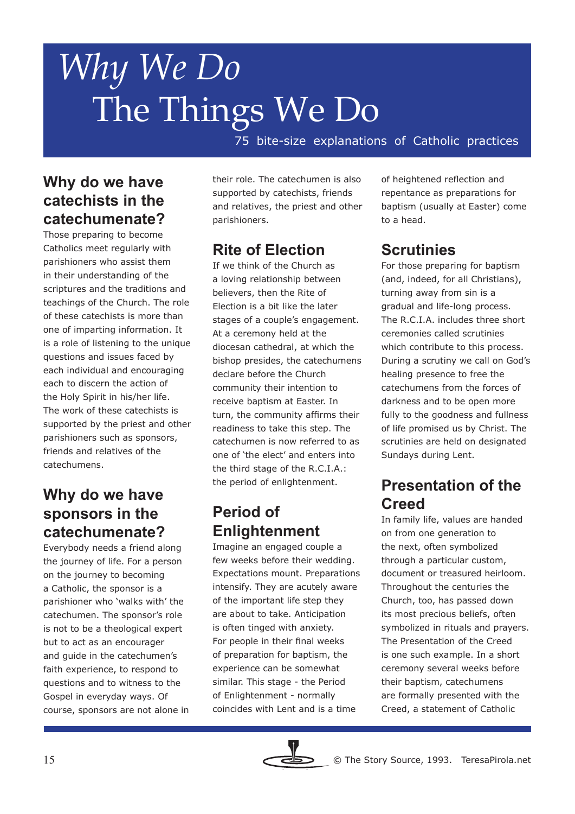75 bite-size explanations of Catholic practices

## **Why do we have catechists in the catechumenate?**

Those preparing to become Catholics meet regularly with parishioners who assist them in their understanding of the scriptures and the traditions and teachings of the Church. The role of these catechists is more than one of imparting information. It is a role of listening to the unique questions and issues faced by each individual and encouraging each to discern the action of the Holy Spirit in his/her life. The work of these catechists is supported by the priest and other parishioners such as sponsors, friends and relatives of the catechumens.

## **Why do we have sponsors in the catechumenate?**

Everybody needs a friend along the journey of life. For a person on the journey to becoming a Catholic, the sponsor is a parishioner who 'walks with' the catechumen. The sponsor's role is not to be a theological expert but to act as an encourager and guide in the catechumen's faith experience, to respond to questions and to witness to the Gospel in everyday ways. Of course, sponsors are not alone in their role. The catechumen is also supported by catechists, friends and relatives, the priest and other parishioners.

# **Rite of Election**

If we think of the Church as a loving relationship between believers, then the Rite of Election is a bit like the later stages of a couple's engagement. At a ceremony held at the diocesan cathedral, at which the bishop presides, the catechumens declare before the Church community their intention to receive baptism at Easter. In turn, the community affirms their readiness to take this step. The catechumen is now referred to as one of 'the elect' and enters into the third stage of the R.C.I.A.: the period of enlightenment.

# **Period of Enlightenment**

Imagine an engaged couple a few weeks before their wedding. Expectations mount. Preparations intensify. They are acutely aware of the important life step they are about to take. Anticipation is often tinged with anxiety. For people in their final weeks of preparation for baptism, the experience can be somewhat similar. This stage - the Period of Enlightenment - normally coincides with Lent and is a time

of heightened reflection and repentance as preparations for baptism (usually at Easter) come to a head.

# **Scrutinies**

For those preparing for baptism (and, indeed, for all Christians), turning away from sin is a gradual and life-long process. The R.C.I.A. includes three short ceremonies called scrutinies which contribute to this process. During a scrutiny we call on God's healing presence to free the catechumens from the forces of darkness and to be open more fully to the goodness and fullness of life promised us by Christ. The scrutinies are held on designated Sundays during Lent.

# **Presentation of the Creed**

In family life, values are handed on from one generation to the next, often symbolized through a particular custom, document or treasured heirloom. Throughout the centuries the Church, too, has passed down its most precious beliefs, often symbolized in rituals and prayers. The Presentation of the Creed is one such example. In a short ceremony several weeks before their baptism, catechumens are formally presented with the Creed, a statement of Catholic